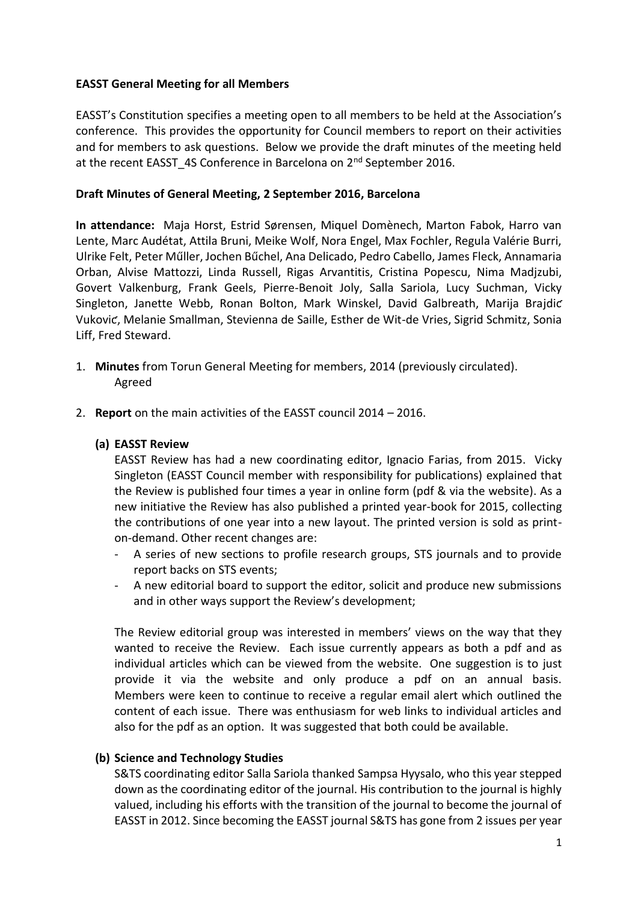### **EASST General Meeting for all Members**

EASST's Constitution specifies a meeting open to all members to be held at the Association's conference. This provides the opportunity for Council members to report on their activities and for members to ask questions. Below we provide the draft minutes of the meeting held at the recent EASST\_4S Conference in Barcelona on 2<sup>nd</sup> September 2016.

### **Draft Minutes of General Meeting, 2 September 2016, Barcelona**

**In attendance:** Maja Horst, Estrid Sørensen, Miquel Domènech, Marton Fabok, Harro van Lente, Marc Audétat, Attila Bruni, Meike Wolf, Nora Engel, Max Fochler, Regula Valérie Burri, Ulrike Felt, Peter Műller, Jochen Bűchel, Ana Delicado, Pedro Cabello, James Fleck, Annamaria Orban, Alvise Mattozzi, Linda Russell, Rigas Arvantitis, Cristina Popescu, Nima Madjzubi, Govert Valkenburg, Frank Geels, Pierre-Benoit Joly, Salla Sariola, Lucy Suchman, Vicky Singleton, Janette Webb, Ronan Bolton, Mark Winskel, David Galbreath, Marija Brajdic Vukoviƈ, Melanie Smallman, Stevienna de Saille, Esther de Wit-de Vries, Sigrid Schmitz, Sonia Liff, Fred Steward.

- 1. **Minutes** from Torun General Meeting for members, 2014 (previously circulated). Agreed
- 2. **Report** on the main activities of the EASST council 2014 2016.

### **(a) EASST Review**

EASST Review has had a new coordinating editor, Ignacio Farias, from 2015. Vicky Singleton (EASST Council member with responsibility for publications) explained that the Review is published four times a year in online form (pdf & via the website). As a new initiative the Review has also published a printed year-book for 2015, collecting the contributions of one year into a new layout. The printed version is sold as printon-demand. Other recent changes are:

- A series of new sections to profile research groups, STS journals and to provide report backs on STS events;
- A new editorial board to support the editor, solicit and produce new submissions and in other ways support the Review's development;

The Review editorial group was interested in members' views on the way that they wanted to receive the Review. Each issue currently appears as both a pdf and as individual articles which can be viewed from the website. One suggestion is to just provide it via the website and only produce a pdf on an annual basis. Members were keen to continue to receive a regular email alert which outlined the content of each issue. There was enthusiasm for web links to individual articles and also for the pdf as an option. It was suggested that both could be available.

# **(b) Science and Technology Studies**

S&TS coordinating editor Salla Sariola thanked Sampsa Hyysalo, who this year stepped down as the coordinating editor of the journal. His contribution to the journal is highly valued, including his efforts with the transition of the journal to become the journal of EASST in 2012. Since becoming the EASST journal S&TS has gone from 2 issues per year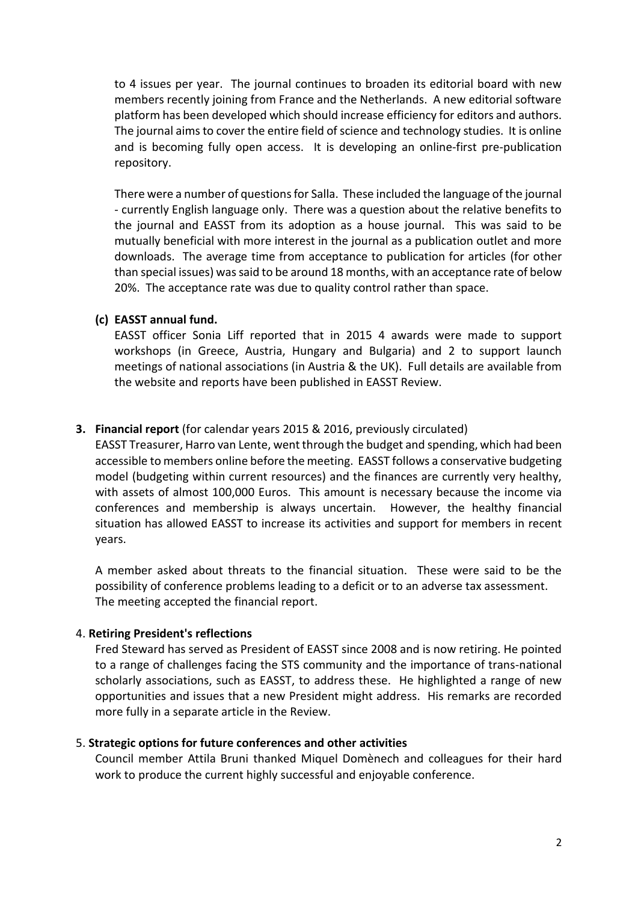to 4 issues per year. The journal continues to broaden its editorial board with new members recently joining from France and the Netherlands. A new editorial software platform has been developed which should increase efficiency for editors and authors. The journal aims to cover the entire field of science and technology studies. It is online and is becoming fully open access. It is developing an online-first pre-publication repository.

There were a number of questions for Salla. These included the language of the journal - currently English language only. There was a question about the relative benefits to the journal and EASST from its adoption as a house journal. This was said to be mutually beneficial with more interest in the journal as a publication outlet and more downloads. The average time from acceptance to publication for articles (for other than special issues) was said to be around 18 months, with an acceptance rate of below 20%. The acceptance rate was due to quality control rather than space.

**(c) EASST annual fund.** 

EASST officer Sonia Liff reported that in 2015 4 awards were made to support workshops (in Greece, Austria, Hungary and Bulgaria) and 2 to support launch meetings of national associations (in Austria & the UK). Full details are available from the website and reports have been published in EASST Review.

# **3. Financial report** (for calendar years 2015 & 2016, previously circulated)

EASST Treasurer, Harro van Lente, went through the budget and spending, which had been accessible to members online before the meeting. EASST follows a conservative budgeting model (budgeting within current resources) and the finances are currently very healthy, with assets of almost 100,000 Euros. This amount is necessary because the income via conferences and membership is always uncertain. However, the healthy financial situation has allowed EASST to increase its activities and support for members in recent years.

A member asked about threats to the financial situation. These were said to be the possibility of conference problems leading to a deficit or to an adverse tax assessment. The meeting accepted the financial report.

# 4. **Retiring President's reflections**

Fred Steward has served as President of EASST since 2008 and is now retiring. He pointed to a range of challenges facing the STS community and the importance of trans-national scholarly associations, such as EASST, to address these. He highlighted a range of new opportunities and issues that a new President might address. His remarks are recorded more fully in a separate article in the Review.

# 5. **Strategic options for future conferences and other activities**

Council member Attila Bruni thanked Miquel Domènech and colleagues for their hard work to produce the current highly successful and enjoyable conference.